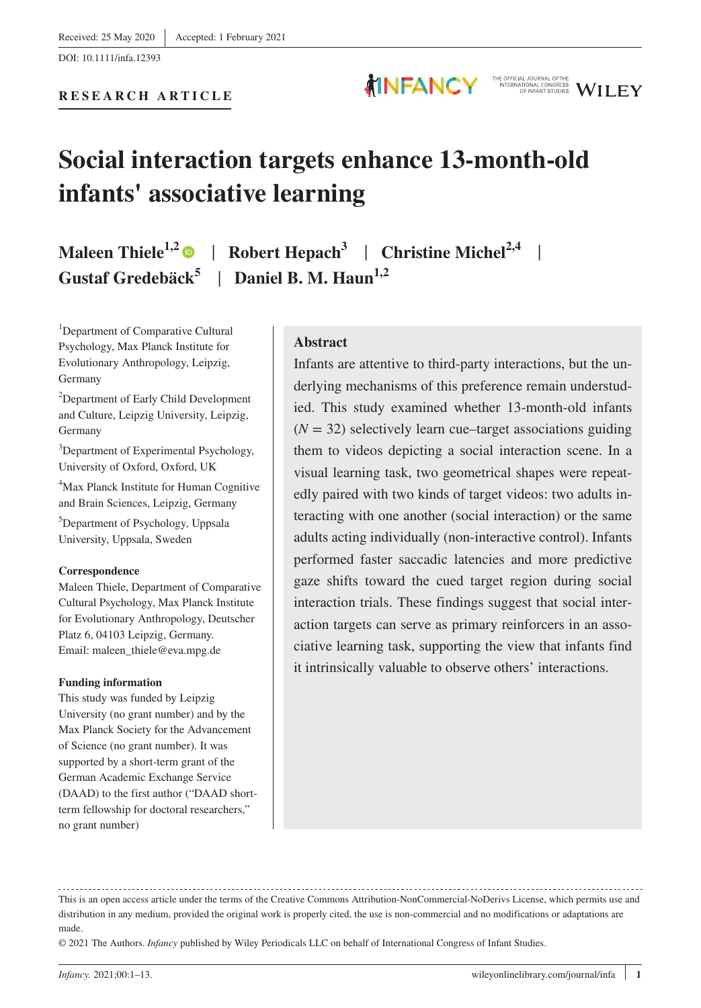## **Social interaction targets enhance 13-month-old infants' associative learning**

**MINFANCY** 

## **Maleen Thiele<sup>1,[2](https://orcid.org/0000-0002-1695-1850)</sup> • | Robert Hepach<sup>3</sup> | Christine Michel<sup>2,4</sup> | Gustaf Gredebäck<sup>5</sup>** | **Daniel B. M. Haun1,2**

<sup>1</sup>Department of Comparative Cultural Psychology, Max Planck Institute for Evolutionary Anthropology, Leipzig, Germany

2 Department of Early Child Development and Culture, Leipzig University, Leipzig, Germany

3 Department of Experimental Psychology, University of Oxford, Oxford, UK

4 Max Planck Institute for Human Cognitive and Brain Sciences, Leipzig, Germany

5 Department of Psychology, Uppsala University, Uppsala, Sweden

#### **Correspondence**

Maleen Thiele, Department of Comparative Cultural Psychology, Max Planck Institute for Evolutionary Anthropology, Deutscher Platz 6, 04103 Leipzig, Germany. Email: [maleen\\_thiele@eva.mpg.de](mailto:maleen_thiele@eva.mpg.de)

#### **Funding information**

This study was funded by Leipzig University (no grant number) and by the Max Planck Society for the Advancement of Science (no grant number). It was supported by a short-term grant of the German Academic Exchange Service (DAAD) to the first author ("DAAD shortterm fellowship for doctoral researchers," no grant number)

#### **Abstract**

Infants are attentive to third-party interactions, but the underlying mechanisms of this preference remain understudied. This study examined whether 13-month-old infants  $(N = 32)$  selectively learn cue–target associations guiding them to videos depicting a social interaction scene. In a visual learning task, two geometrical shapes were repeatedly paired with two kinds of target videos: two adults interacting with one another (social interaction) or the same adults acting individually (non-interactive control). Infants performed faster saccadic latencies and more predictive gaze shifts toward the cued target region during social interaction trials. These findings suggest that social interaction targets can serve as primary reinforcers in an associative learning task, supporting the view that infants find it intrinsically valuable to observe others' interactions.

© 2021 The Authors. *Infancy* published by Wiley Periodicals LLC on behalf of International Congress of Infant Studies.

THE OFFICIAL JOURNAL OFTHE NTERNATIONAL CONGRESS WILEY

This is an open access article under the terms of the [Creative Commons Attribution-NonCommercial-NoDerivs](http://creativecommons.org/licenses/by-nc-nd/4.0/) License, which permits use and distribution in any medium, provided the original work is properly cited, the use is non-commercial and no modifications or adaptations are made.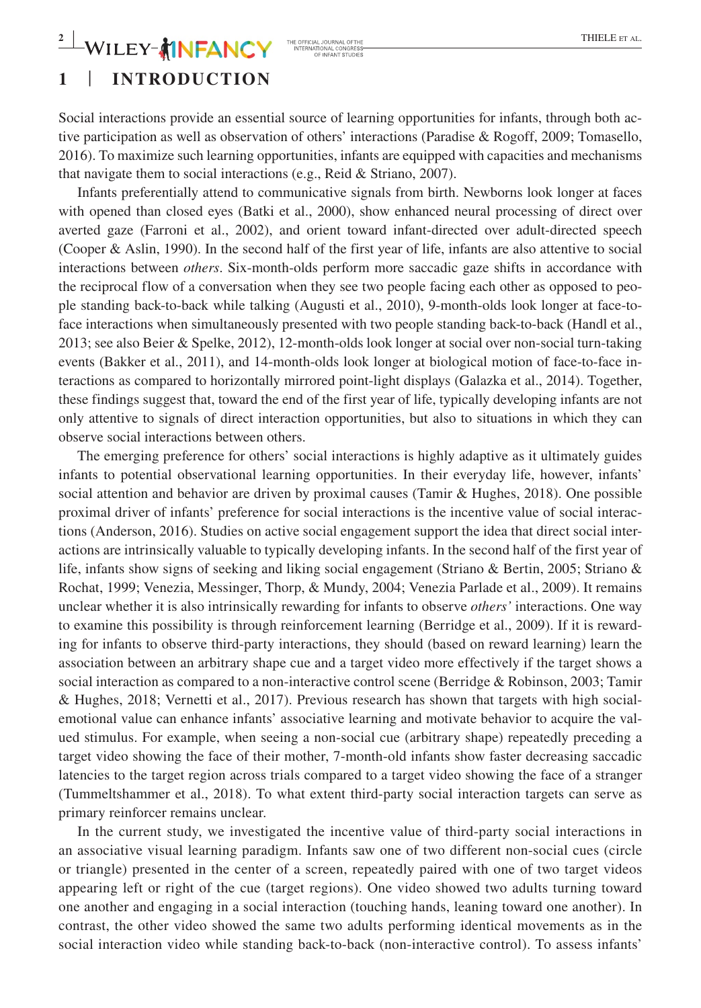## $-\mathbf{WILEY}$  **||**  $\mathbf{FANCY}$  The Official Journal of the **algorithme and the complete state the complete state**

## **1** | **INTRODUCTION**

Social interactions provide an essential source of learning opportunities for infants, through both active participation as well as observation of others' interactions (Paradise & Rogoff, 2009; Tomasello, 2016). To maximize such learning opportunities, infants are equipped with capacities and mechanisms that navigate them to social interactions (e.g., Reid & Striano, 2007).

Infants preferentially attend to communicative signals from birth. Newborns look longer at faces with opened than closed eyes (Batki et al., 2000), show enhanced neural processing of direct over averted gaze (Farroni et al., 2002), and orient toward infant-directed over adult-directed speech (Cooper & Aslin, 1990). In the second half of the first year of life, infants are also attentive to social interactions between *others*. Six-month-olds perform more saccadic gaze shifts in accordance with the reciprocal flow of a conversation when they see two people facing each other as opposed to people standing back-to-back while talking (Augusti et al., 2010), 9-month-olds look longer at face-toface interactions when simultaneously presented with two people standing back-to-back (Handl et al., 2013; see also Beier & Spelke, 2012), 12-month-olds look longer at social over non-social turn-taking events (Bakker et al., 2011), and 14-month-olds look longer at biological motion of face-to-face interactions as compared to horizontally mirrored point-light displays (Galazka et al., 2014). Together, these findings suggest that, toward the end of the first year of life, typically developing infants are not only attentive to signals of direct interaction opportunities, but also to situations in which they can observe social interactions between others.

The emerging preference for others' social interactions is highly adaptive as it ultimately guides infants to potential observational learning opportunities. In their everyday life, however, infants' social attention and behavior are driven by proximal causes (Tamir & Hughes, 2018). One possible proximal driver of infants' preference for social interactions is the incentive value of social interactions (Anderson, 2016). Studies on active social engagement support the idea that direct social interactions are intrinsically valuable to typically developing infants. In the second half of the first year of life, infants show signs of seeking and liking social engagement (Striano & Bertin, 2005; Striano & Rochat, 1999; Venezia, Messinger, Thorp, & Mundy, 2004; Venezia Parlade et al., 2009). It remains unclear whether it is also intrinsically rewarding for infants to observe *others'* interactions. One way to examine this possibility is through reinforcement learning (Berridge et al., 2009). If it is rewarding for infants to observe third-party interactions, they should (based on reward learning) learn the association between an arbitrary shape cue and a target video more effectively if the target shows a social interaction as compared to a non-interactive control scene (Berridge & Robinson, 2003; Tamir & Hughes, 2018; Vernetti et al., 2017). Previous research has shown that targets with high socialemotional value can enhance infants' associative learning and motivate behavior to acquire the valued stimulus. For example, when seeing a non-social cue (arbitrary shape) repeatedly preceding a target video showing the face of their mother, 7-month-old infants show faster decreasing saccadic latencies to the target region across trials compared to a target video showing the face of a stranger (Tummeltshammer et al., 2018). To what extent third-party social interaction targets can serve as primary reinforcer remains unclear.

In the current study, we investigated the incentive value of third-party social interactions in an associative visual learning paradigm. Infants saw one of two different non-social cues (circle or triangle) presented in the center of a screen, repeatedly paired with one of two target videos appearing left or right of the cue (target regions). One video showed two adults turning toward one another and engaging in a social interaction (touching hands, leaning toward one another). In contrast, the other video showed the same two adults performing identical movements as in the social interaction video while standing back-to-back (non-interactive control). To assess infants'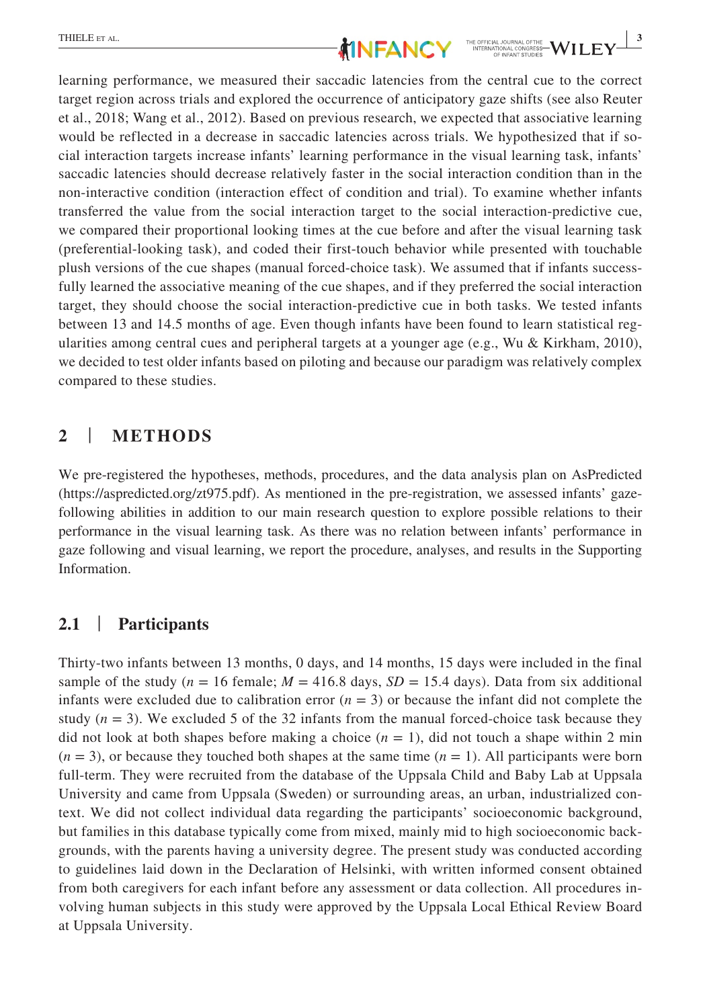learning performance, we measured their saccadic latencies from the central cue to the correct target region across trials and explored the occurrence of anticipatory gaze shifts (see also Reuter et al., 2018; Wang et al., 2012). Based on previous research, we expected that associative learning would be reflected in a decrease in saccadic latencies across trials. We hypothesized that if social interaction targets increase infants' learning performance in the visual learning task, infants' saccadic latencies should decrease relatively faster in the social interaction condition than in the non-interactive condition (interaction effect of condition and trial). To examine whether infants transferred the value from the social interaction target to the social interaction-predictive cue, we compared their proportional looking times at the cue before and after the visual learning task (preferential-looking task), and coded their first-touch behavior while presented with touchable plush versions of the cue shapes (manual forced-choice task). We assumed that if infants successfully learned the associative meaning of the cue shapes, and if they preferred the social interaction target, they should choose the social interaction-predictive cue in both tasks. We tested infants between 13 and 14.5 months of age. Even though infants have been found to learn statistical regularities among central cues and peripheral targets at a younger age (e.g., Wu & Kirkham, 2010), we decided to test older infants based on piloting and because our paradigm was relatively complex compared to these studies.

#### **2** | **METHODS**

We pre-registered the hypotheses, methods, procedures, and the data analysis plan on AsPredicted ([https://aspredicted.org/zt975.pdf\)](https://aspredicted.org/zt975.pdf). As mentioned in the pre-registration, we assessed infants' gazefollowing abilities in addition to our main research question to explore possible relations to their performance in the visual learning task. As there was no relation between infants' performance in gaze following and visual learning, we report the procedure, analyses, and results in the Supporting Information.

#### **2.1** | **Participants**

Thirty-two infants between 13 months, 0 days, and 14 months, 15 days were included in the final sample of the study ( $n = 16$  female;  $M = 416.8$  days,  $SD = 15.4$  days). Data from six additional infants were excluded due to calibration error  $(n = 3)$  or because the infant did not complete the study  $(n = 3)$ . We excluded 5 of the 32 infants from the manual forced-choice task because they did not look at both shapes before making a choice  $(n = 1)$ , did not touch a shape within 2 min  $(n = 3)$ , or because they touched both shapes at the same time  $(n = 1)$ . All participants were born full-term. They were recruited from the database of the Uppsala Child and Baby Lab at Uppsala University and came from Uppsala (Sweden) or surrounding areas, an urban, industrialized context. We did not collect individual data regarding the participants' socioeconomic background, but families in this database typically come from mixed, mainly mid to high socioeconomic backgrounds, with the parents having a university degree. The present study was conducted according to guidelines laid down in the Declaration of Helsinki, with written informed consent obtained from both caregivers for each infant before any assessment or data collection. All procedures involving human subjects in this study were approved by the Uppsala Local Ethical Review Board at Uppsala University.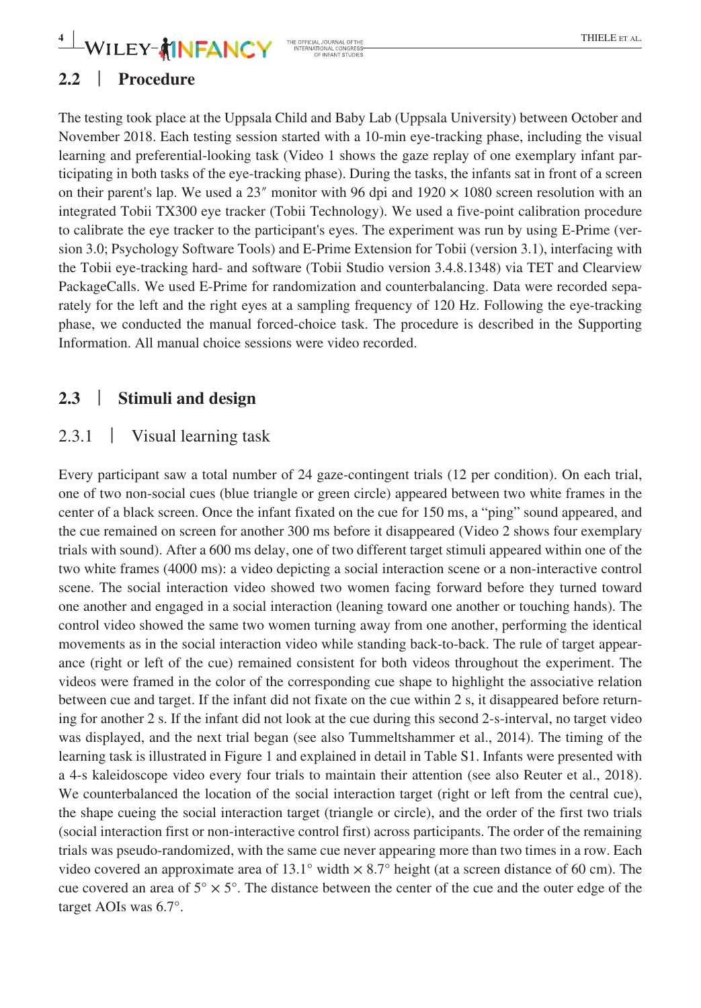## $-\mathbf{WILEY}$   $^*$  **INFANCY** THE RESPECTAL JOURNAL OF THE **EXECUTE SET AL.**

## **2.2** | **Procedure**

The testing took place at the Uppsala Child and Baby Lab (Uppsala University) between October and November 2018. Each testing session started with a 10-min eye-tracking phase, including the visual learning and preferential-looking task (Video 1 shows the gaze replay of one exemplary infant participating in both tasks of the eye-tracking phase). During the tasks, the infants sat in front of a screen on their parent's lap. We used a  $23''$  monitor with 96 dpi and  $1920 \times 1080$  screen resolution with an integrated Tobii TX300 eye tracker (Tobii Technology). We used a five-point calibration procedure to calibrate the eye tracker to the participant's eyes. The experiment was run by using E-Prime (version 3.0; Psychology Software Tools) and E-Prime Extension for Tobii (version 3.1), interfacing with the Tobii eye-tracking hard- and software (Tobii Studio version 3.4.8.1348) via TET and Clearview PackageCalls. We used E-Prime for randomization and counterbalancing. Data were recorded separately for the left and the right eyes at a sampling frequency of 120 Hz. Following the eye-tracking phase, we conducted the manual forced-choice task. The procedure is described in the Supporting Information. All manual choice sessions were video recorded.

### **2.3** | **Stimuli and design**

#### 2.3.1 | Visual learning task

Every participant saw a total number of 24 gaze-contingent trials (12 per condition). On each trial, one of two non-social cues (blue triangle or green circle) appeared between two white frames in the center of a black screen. Once the infant fixated on the cue for 150 ms, a "ping" sound appeared, and the cue remained on screen for another 300 ms before it disappeared (Video 2 shows four exemplary trials with sound). After a 600 ms delay, one of two different target stimuli appeared within one of the two white frames (4000 ms): a video depicting a social interaction scene or a non-interactive control scene. The social interaction video showed two women facing forward before they turned toward one another and engaged in a social interaction (leaning toward one another or touching hands). The control video showed the same two women turning away from one another, performing the identical movements as in the social interaction video while standing back-to-back. The rule of target appearance (right or left of the cue) remained consistent for both videos throughout the experiment. The videos were framed in the color of the corresponding cue shape to highlight the associative relation between cue and target. If the infant did not fixate on the cue within 2 s, it disappeared before returning for another 2 s. If the infant did not look at the cue during this second 2-s-interval, no target video was displayed, and the next trial began (see also Tummeltshammer et al., 2014). The timing of the learning task is illustrated in Figure 1 and explained in detail in Table S1. Infants were presented with a 4-s kaleidoscope video every four trials to maintain their attention (see also Reuter et al., 2018). We counterbalanced the location of the social interaction target (right or left from the central cue), the shape cueing the social interaction target (triangle or circle), and the order of the first two trials (social interaction first or non-interactive control first) across participants. The order of the remaining trials was pseudo-randomized, with the same cue never appearing more than two times in a row. Each video covered an approximate area of 13.1° width  $\times$  8.7° height (at a screen distance of 60 cm). The cue covered an area of  $5^\circ \times 5^\circ$ . The distance between the center of the cue and the outer edge of the target AOIs was 6.7°.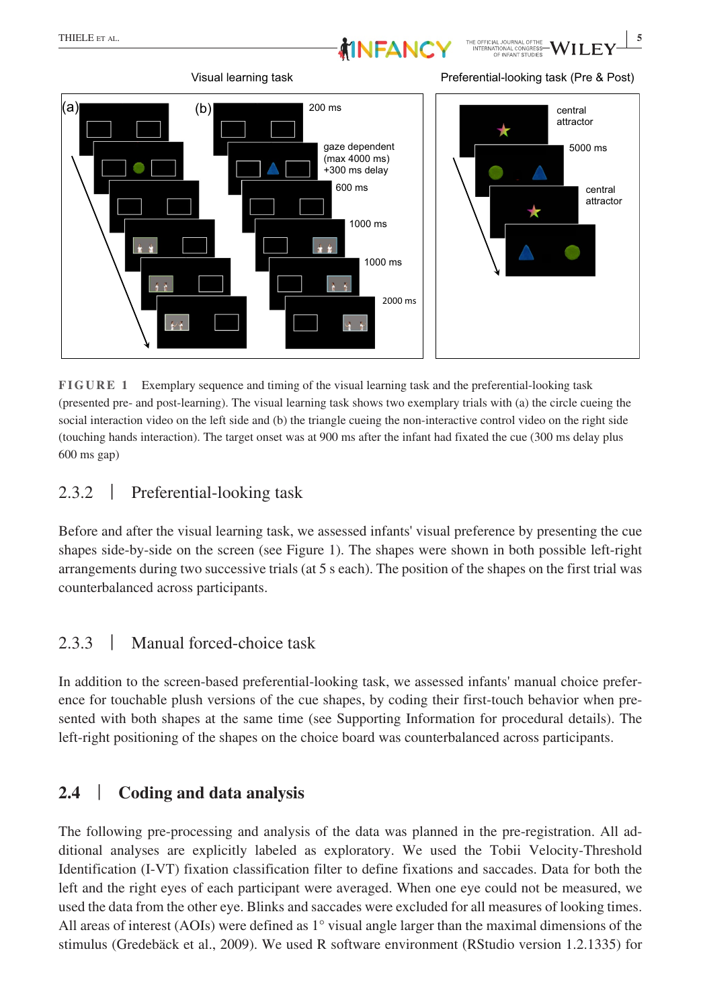



**FIGURE 1** Exemplary sequence and timing of the visual learning task and the preferential-looking task (presented pre- and post-learning). The visual learning task shows two exemplary trials with (a) the circle cueing the social interaction video on the left side and (b) the triangle cueing the non-interactive control video on the right side (touching hands interaction). The target onset was at 900 ms after the infant had fixated the cue (300 ms delay plus 600 ms gap)

### 2.3.2 | Preferential-looking task

Before and after the visual learning task, we assessed infants' visual preference by presenting the cue shapes side-by-side on the screen (see Figure 1). The shapes were shown in both possible left-right arrangements during two successive trials (at 5 s each). The position of the shapes on the first trial was counterbalanced across participants.

## 2.3.3 | Manual forced-choice task

In addition to the screen-based preferential-looking task, we assessed infants' manual choice preference for touchable plush versions of the cue shapes, by coding their first-touch behavior when presented with both shapes at the same time (see Supporting Information for procedural details). The left-right positioning of the shapes on the choice board was counterbalanced across participants.

## **2.4** | **Coding and data analysis**

The following pre-processing and analysis of the data was planned in the pre-registration. All additional analyses are explicitly labeled as exploratory. We used the Tobii Velocity-Threshold Identification (I-VT) fixation classification filter to define fixations and saccades. Data for both the left and the right eyes of each participant were averaged. When one eye could not be measured, we used the data from the other eye. Blinks and saccades were excluded for all measures of looking times. All areas of interest (AOIs) were defined as  $1^{\circ}$  visual angle larger than the maximal dimensions of the stimulus (Gredebäck et al., 2009). We used R software environment (RStudio version 1.2.1335) for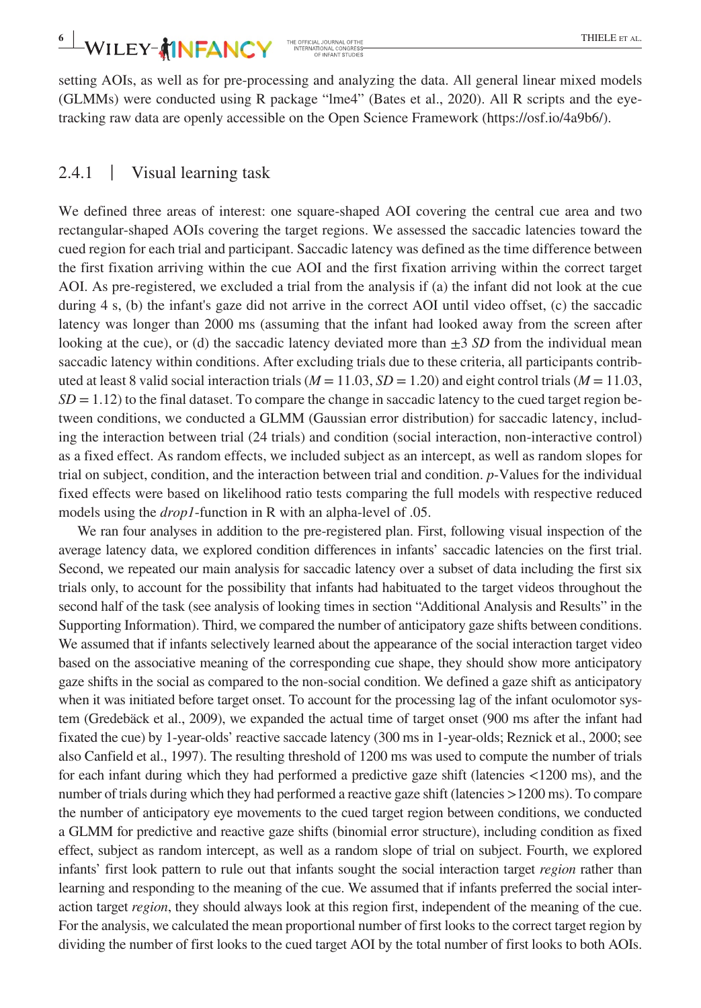setting AOIs, as well as for pre-processing and analyzing the data. All general linear mixed models (GLMMs) were conducted using R package "lme4" (Bates et al., 2020). All R scripts and the eyetracking raw data are openly accessible on the Open Science Framework (<https://osf.io/4a9b6/>).

### 2.4.1 | Visual learning task

We defined three areas of interest: one square-shaped AOI covering the central cue area and two rectangular-shaped AOIs covering the target regions. We assessed the saccadic latencies toward the cued region for each trial and participant. Saccadic latency was defined as the time difference between the first fixation arriving within the cue AOI and the first fixation arriving within the correct target AOI. As pre-registered, we excluded a trial from the analysis if (a) the infant did not look at the cue during 4 s, (b) the infant's gaze did not arrive in the correct AOI until video offset, (c) the saccadic latency was longer than 2000 ms (assuming that the infant had looked away from the screen after looking at the cue), or (d) the saccadic latency deviated more than  $\pm 3$  *SD* from the individual mean saccadic latency within conditions. After excluding trials due to these criteria, all participants contributed at least 8 valid social interaction trials ( $M = 11.03$ ,  $SD = 1.20$ ) and eight control trials ( $M = 11.03$ ,  $SD = 1.12$ ) to the final dataset. To compare the change in saccadic latency to the cued target region between conditions, we conducted a GLMM (Gaussian error distribution) for saccadic latency, including the interaction between trial (24 trials) and condition (social interaction, non-interactive control) as a fixed effect. As random effects, we included subject as an intercept, as well as random slopes for trial on subject, condition, and the interaction between trial and condition. *p*-Values for the individual fixed effects were based on likelihood ratio tests comparing the full models with respective reduced models using the *drop1*-function in R with an alpha-level of .05.

We ran four analyses in addition to the pre-registered plan. First, following visual inspection of the average latency data, we explored condition differences in infants' saccadic latencies on the first trial. Second, we repeated our main analysis for saccadic latency over a subset of data including the first six trials only, to account for the possibility that infants had habituated to the target videos throughout the second half of the task (see analysis of looking times in section "Additional Analysis and Results" in the Supporting Information). Third, we compared the number of anticipatory gaze shifts between conditions. We assumed that if infants selectively learned about the appearance of the social interaction target video based on the associative meaning of the corresponding cue shape, they should show more anticipatory gaze shifts in the social as compared to the non-social condition. We defined a gaze shift as anticipatory when it was initiated before target onset. To account for the processing lag of the infant oculomotor system (Gredebäck et al., 2009), we expanded the actual time of target onset (900 ms after the infant had fixated the cue) by 1-year-olds' reactive saccade latency (300 ms in 1-year-olds; Reznick et al., 2000; see also Canfield et al., 1997). The resulting threshold of 1200 ms was used to compute the number of trials for each infant during which they had performed a predictive gaze shift (latencies <1200 ms), and the number of trials during which they had performed a reactive gaze shift (latencies >1200 ms). To compare the number of anticipatory eye movements to the cued target region between conditions, we conducted a GLMM for predictive and reactive gaze shifts (binomial error structure), including condition as fixed effect, subject as random intercept, as well as a random slope of trial on subject. Fourth, we explored infants' first look pattern to rule out that infants sought the social interaction target *region* rather than learning and responding to the meaning of the cue. We assumed that if infants preferred the social interaction target *region*, they should always look at this region first, independent of the meaning of the cue. For the analysis, we calculated the mean proportional number of first looks to the correct target region by dividing the number of first looks to the cued target AOI by the total number of first looks to both AOIs.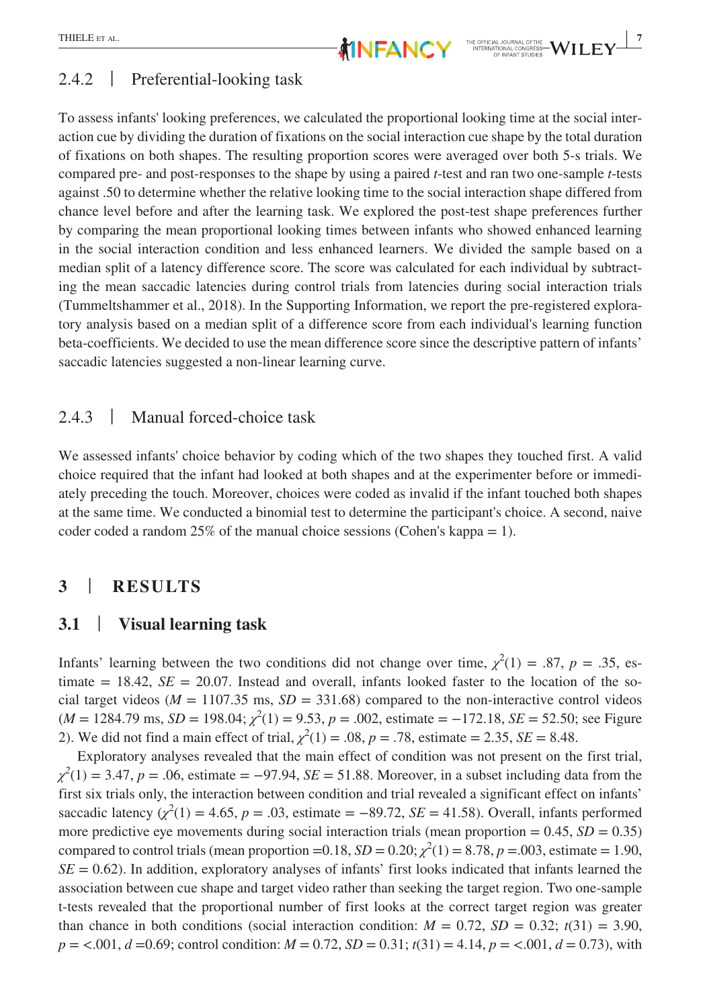#### 2.4.2 | Preferential-looking task

To assess infants' looking preferences, we calculated the proportional looking time at the social interaction cue by dividing the duration of fixations on the social interaction cue shape by the total duration of fixations on both shapes. The resulting proportion scores were averaged over both 5-s trials. We compared pre- and post-responses to the shape by using a paired *t*-test and ran two one-sample *t*-tests against .50 to determine whether the relative looking time to the social interaction shape differed from chance level before and after the learning task. We explored the post-test shape preferences further by comparing the mean proportional looking times between infants who showed enhanced learning in the social interaction condition and less enhanced learners. We divided the sample based on a median split of a latency difference score. The score was calculated for each individual by subtracting the mean saccadic latencies during control trials from latencies during social interaction trials (Tummeltshammer et al., 2018). In the Supporting Information, we report the pre-registered exploratory analysis based on a median split of a difference score from each individual's learning function beta-coefficients. We decided to use the mean difference score since the descriptive pattern of infants' saccadic latencies suggested a non-linear learning curve.

#### 2.4.3 | Manual forced-choice task

We assessed infants' choice behavior by coding which of the two shapes they touched first. A valid choice required that the infant had looked at both shapes and at the experimenter before or immediately preceding the touch. Moreover, choices were coded as invalid if the infant touched both shapes at the same time. We conducted a binomial test to determine the participant's choice. A second, naive coder coded a random  $25\%$  of the manual choice sessions (Cohen's kappa = 1).

#### **3** | **RESULTS**

#### **3.1** | **Visual learning task**

Infants' learning between the two conditions did not change over time,  $\chi^2(1) = .87$ ,  $p = .35$ , estimate  $= 18.42$ ,  $SE = 20.07$ . Instead and overall, infants looked faster to the location of the social target videos ( $M = 1107.35$  ms,  $SD = 331.68$ ) compared to the non-interactive control videos  $(M = 1284.79 \text{ ms}, SD = 198.04; \chi^2(1) = 9.53, p = .002, \text{ estimate} = -172.18, SE = 52.50; \text{see Figure}$ 2). We did not find a main effect of trial,  $\chi^2(1) = .08$ ,  $p = .78$ , estimate = 2.35, *SE* = 8.48.

Exploratory analyses revealed that the main effect of condition was not present on the first trial,  $\chi^2(1) = 3.47$ , *p* = .06, estimate = −97.94, *SE* = 51.88. Moreover, in a subset including data from the first six trials only, the interaction between condition and trial revealed a significant effect on infants' saccadic latency  $(\chi^2(1) = 4.65, p = .03, \text{ estimate} = -89.72, SE = 41.58)$ . Overall, infants performed more predictive eye movements during social interaction trials (mean proportion  $= 0.45$ ,  $SD = 0.35$ ) compared to control trials (mean proportion =0.18,  $SD = 0.20$ ;  $\chi^2(1) = 8.78$ ,  $p = .003$ , estimate = 1.90,  $SE = 0.62$ ). In addition, exploratory analyses of infants' first looks indicated that infants learned the association between cue shape and target video rather than seeking the target region. Two one-sample t-tests revealed that the proportional number of first looks at the correct target region was greater than chance in both conditions (social interaction condition:  $M = 0.72$ ,  $SD = 0.32$ ;  $t(31) = 3.90$ , *p* = <.001, *d* =0.69; control condition: *M* = 0.72, *SD* = 0.31; *t*(31) = 4.14, *p* = <.001, *d* = 0.73), with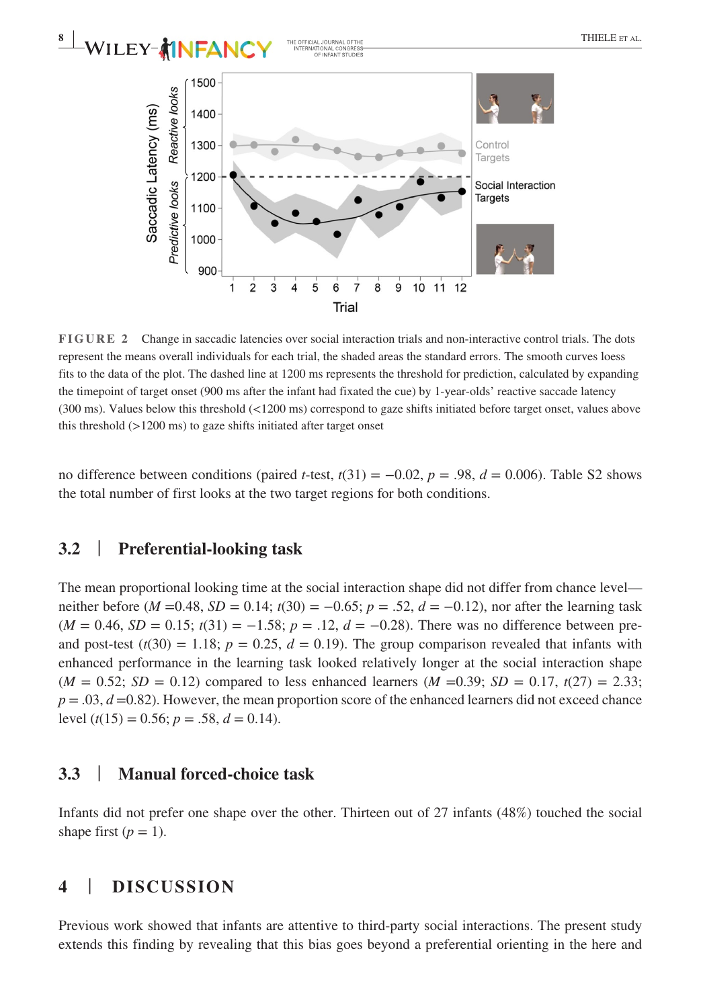



**FIGURE 2** Change in saccadic latencies over social interaction trials and non-interactive control trials. The dots represent the means overall individuals for each trial, the shaded areas the standard errors. The smooth curves loess fits to the data of the plot. The dashed line at 1200 ms represents the threshold for prediction, calculated by expanding the timepoint of target onset (900 ms after the infant had fixated the cue) by 1-year-olds' reactive saccade latency (300 ms). Values below this threshold (<1200 ms) correspond to gaze shifts initiated before target onset, values above this threshold  $(>1200 \text{ ms})$  to gaze shifts initiated after target onset

no difference between conditions (paired *t*-test,  $t(31) = -0.02$ ,  $p = .98$ ,  $d = 0.006$ ). Table S2 shows the total number of first looks at the two target regions for both conditions.

#### **3.2** | **Preferential-looking task**

The mean proportional looking time at the social interaction shape did not differ from chance level neither before ( $M = 0.48$ ,  $SD = 0.14$ ;  $t(30) = -0.65$ ;  $p = .52$ ,  $d = -0.12$ ), nor after the learning task  $(M = 0.46, SD = 0.15; t(31) = -1.58; p = .12, d = -0.28$ . There was no difference between preand post-test  $(t(30) = 1.18$ ;  $p = 0.25$ ,  $d = 0.19$ ). The group comparison revealed that infants with enhanced performance in the learning task looked relatively longer at the social interaction shape  $(M = 0.52; SD = 0.12)$  compared to less enhanced learners  $(M = 0.39; SD = 0.17, t(27) = 2.33;$  $p = 0.03$ ,  $d = 0.82$ ). However, the mean proportion score of the enhanced learners did not exceed chance level  $(t(15) = 0.56; p = .58, d = 0.14)$ .

#### **3.3** | **Manual forced-choice task**

Infants did not prefer one shape over the other. Thirteen out of 27 infants (48%) touched the social shape first  $(p = 1)$ .

#### **4** | **DISCUSSION**

Previous work showed that infants are attentive to third-party social interactions. The present study extends this finding by revealing that this bias goes beyond a preferential orienting in the here and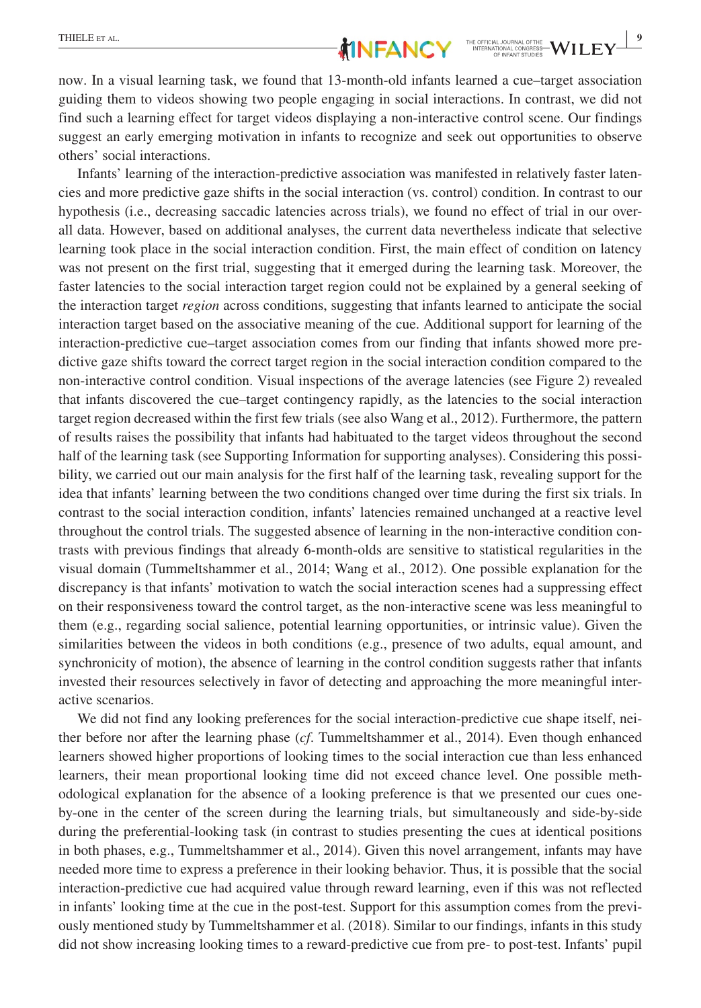now. In a visual learning task, we found that 13-month-old infants learned a cue–target association guiding them to videos showing two people engaging in social interactions. In contrast, we did not find such a learning effect for target videos displaying a non-interactive control scene. Our findings suggest an early emerging motivation in infants to recognize and seek out opportunities to observe others' social interactions.

Infants' learning of the interaction-predictive association was manifested in relatively faster latencies and more predictive gaze shifts in the social interaction (vs. control) condition. In contrast to our hypothesis (i.e., decreasing saccadic latencies across trials), we found no effect of trial in our overall data. However, based on additional analyses, the current data nevertheless indicate that selective learning took place in the social interaction condition. First, the main effect of condition on latency was not present on the first trial, suggesting that it emerged during the learning task. Moreover, the faster latencies to the social interaction target region could not be explained by a general seeking of the interaction target *region* across conditions, suggesting that infants learned to anticipate the social interaction target based on the associative meaning of the cue. Additional support for learning of the interaction-predictive cue–target association comes from our finding that infants showed more predictive gaze shifts toward the correct target region in the social interaction condition compared to the non-interactive control condition. Visual inspections of the average latencies (see Figure 2) revealed that infants discovered the cue–target contingency rapidly, as the latencies to the social interaction target region decreased within the first few trials (see also Wang et al., 2012). Furthermore, the pattern of results raises the possibility that infants had habituated to the target videos throughout the second half of the learning task (see Supporting Information for supporting analyses). Considering this possibility, we carried out our main analysis for the first half of the learning task, revealing support for the idea that infants' learning between the two conditions changed over time during the first six trials. In contrast to the social interaction condition, infants' latencies remained unchanged at a reactive level throughout the control trials. The suggested absence of learning in the non-interactive condition contrasts with previous findings that already 6-month-olds are sensitive to statistical regularities in the visual domain (Tummeltshammer et al., 2014; Wang et al., 2012). One possible explanation for the discrepancy is that infants' motivation to watch the social interaction scenes had a suppressing effect on their responsiveness toward the control target, as the non-interactive scene was less meaningful to them (e.g., regarding social salience, potential learning opportunities, or intrinsic value). Given the similarities between the videos in both conditions (e.g., presence of two adults, equal amount, and synchronicity of motion), the absence of learning in the control condition suggests rather that infants invested their resources selectively in favor of detecting and approaching the more meaningful interactive scenarios.

We did not find any looking preferences for the social interaction-predictive cue shape itself, neither before nor after the learning phase (*cf*. Tummeltshammer et al., 2014). Even though enhanced learners showed higher proportions of looking times to the social interaction cue than less enhanced learners, their mean proportional looking time did not exceed chance level. One possible methodological explanation for the absence of a looking preference is that we presented our cues oneby-one in the center of the screen during the learning trials, but simultaneously and side-by-side during the preferential-looking task (in contrast to studies presenting the cues at identical positions in both phases, e.g., Tummeltshammer et al., 2014). Given this novel arrangement, infants may have needed more time to express a preference in their looking behavior. Thus, it is possible that the social interaction-predictive cue had acquired value through reward learning, even if this was not reflected in infants' looking time at the cue in the post-test. Support for this assumption comes from the previously mentioned study by Tummeltshammer et al. (2018). Similar to our findings, infants in this study did not show increasing looking times to a reward-predictive cue from pre- to post-test. Infants' pupil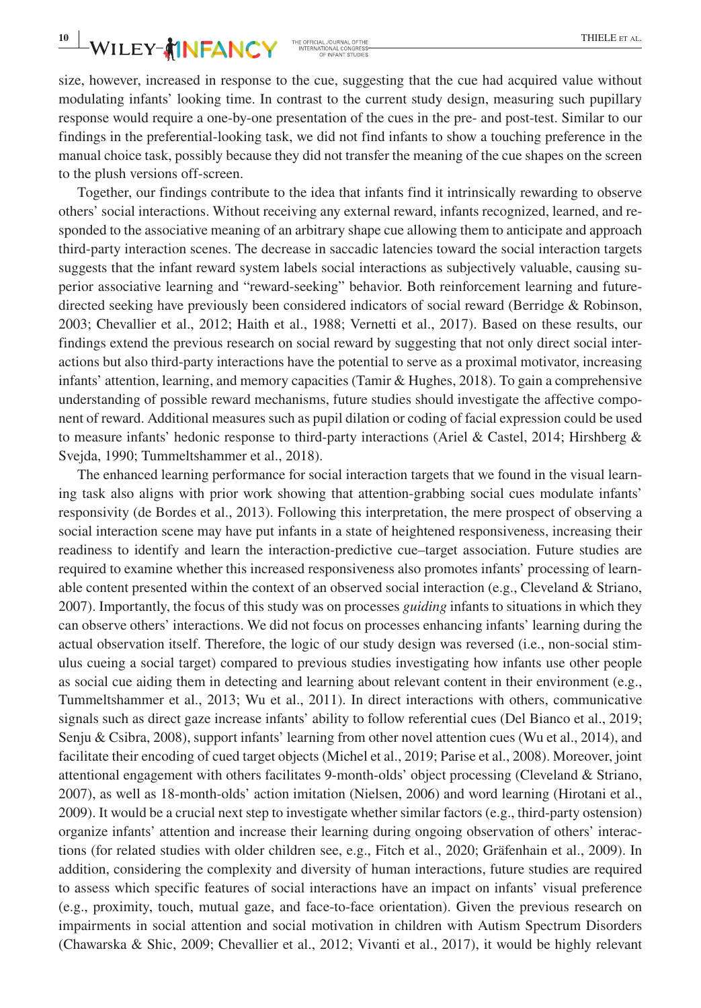# **10**  $\blacksquare$  **WILEY- MINFANCY** THE CFECIAL JOURNAL OF THE **EXECUTE SET AL.**

size, however, increased in response to the cue, suggesting that the cue had acquired value without modulating infants' looking time. In contrast to the current study design, measuring such pupillary response would require a one-by-one presentation of the cues in the pre- and post-test. Similar to our findings in the preferential-looking task, we did not find infants to show a touching preference in the manual choice task, possibly because they did not transfer the meaning of the cue shapes on the screen to the plush versions off-screen.

Together, our findings contribute to the idea that infants find it intrinsically rewarding to observe others' social interactions. Without receiving any external reward, infants recognized, learned, and responded to the associative meaning of an arbitrary shape cue allowing them to anticipate and approach third-party interaction scenes. The decrease in saccadic latencies toward the social interaction targets suggests that the infant reward system labels social interactions as subjectively valuable, causing superior associative learning and "reward-seeking" behavior. Both reinforcement learning and futuredirected seeking have previously been considered indicators of social reward (Berridge & Robinson, 2003; Chevallier et al., 2012; Haith et al., 1988; Vernetti et al., 2017). Based on these results, our findings extend the previous research on social reward by suggesting that not only direct social interactions but also third-party interactions have the potential to serve as a proximal motivator, increasing infants' attention, learning, and memory capacities (Tamir & Hughes, 2018). To gain a comprehensive understanding of possible reward mechanisms, future studies should investigate the affective component of reward. Additional measures such as pupil dilation or coding of facial expression could be used to measure infants' hedonic response to third-party interactions (Ariel & Castel, 2014; Hirshberg  $\&$ Svejda, 1990; Tummeltshammer et al., 2018).

The enhanced learning performance for social interaction targets that we found in the visual learning task also aligns with prior work showing that attention-grabbing social cues modulate infants' responsivity (de Bordes et al., 2013). Following this interpretation, the mere prospect of observing a social interaction scene may have put infants in a state of heightened responsiveness, increasing their readiness to identify and learn the interaction-predictive cue–target association. Future studies are required to examine whether this increased responsiveness also promotes infants' processing of learnable content presented within the context of an observed social interaction (e.g., Cleveland & Striano, 2007). Importantly, the focus of this study was on processes *guiding* infants to situations in which they can observe others' interactions. We did not focus on processes enhancing infants' learning during the actual observation itself. Therefore, the logic of our study design was reversed (i.e., non-social stimulus cueing a social target) compared to previous studies investigating how infants use other people as social cue aiding them in detecting and learning about relevant content in their environment (e.g., Tummeltshammer et al., 2013; Wu et al., 2011). In direct interactions with others, communicative signals such as direct gaze increase infants' ability to follow referential cues (Del Bianco et al., 2019; Senju & Csibra, 2008), support infants' learning from other novel attention cues (Wu et al., 2014), and facilitate their encoding of cued target objects (Michel et al., 2019; Parise et al., 2008). Moreover, joint attentional engagement with others facilitates 9-month-olds' object processing (Cleveland & Striano, 2007), as well as 18-month-olds' action imitation (Nielsen, 2006) and word learning (Hirotani et al., 2009). It would be a crucial next step to investigate whether similar factors (e.g., third-party ostension) organize infants' attention and increase their learning during ongoing observation of others' interactions (for related studies with older children see, e.g., Fitch et al., 2020; Gräfenhain et al., 2009). In addition, considering the complexity and diversity of human interactions, future studies are required to assess which specific features of social interactions have an impact on infants' visual preference (e.g., proximity, touch, mutual gaze, and face-to-face orientation). Given the previous research on impairments in social attention and social motivation in children with Autism Spectrum Disorders (Chawarska & Shic, 2009; Chevallier et al., 2012; Vivanti et al., 2017), it would be highly relevant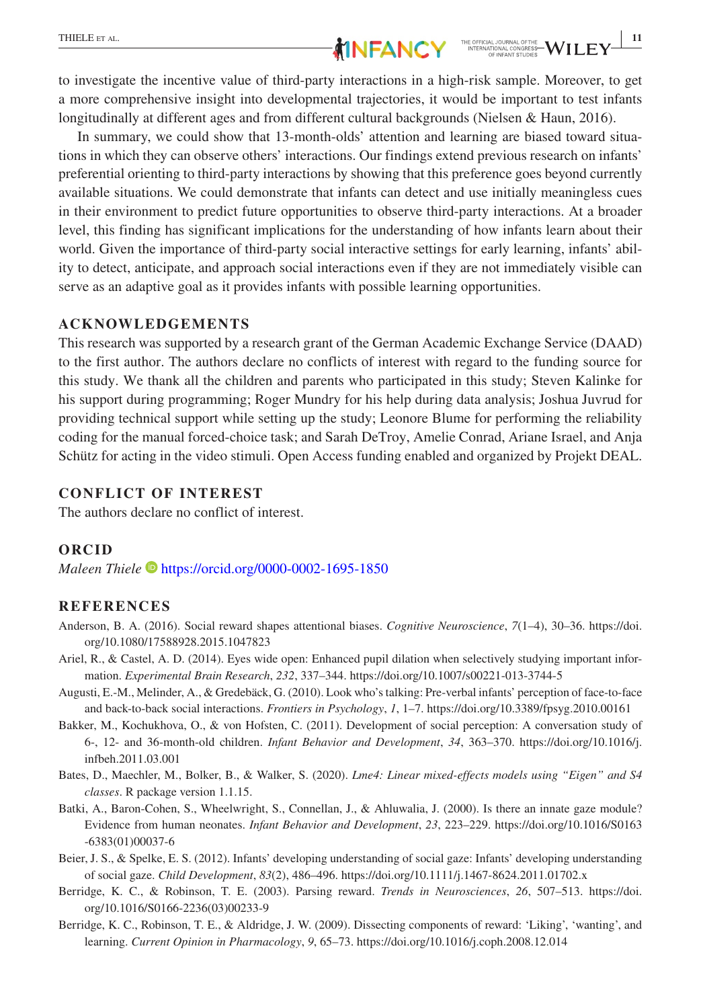to investigate the incentive value of third-party interactions in a high-risk sample. Moreover, to get a more comprehensive insight into developmental trajectories, it would be important to test infants longitudinally at different ages and from different cultural backgrounds (Nielsen & Haun, 2016).

In summary, we could show that 13-month-olds' attention and learning are biased toward situations in which they can observe others' interactions. Our findings extend previous research on infants' preferential orienting to third-party interactions by showing that this preference goes beyond currently available situations. We could demonstrate that infants can detect and use initially meaningless cues in their environment to predict future opportunities to observe third-party interactions. At a broader level, this finding has significant implications for the understanding of how infants learn about their world. Given the importance of third-party social interactive settings for early learning, infants' ability to detect, anticipate, and approach social interactions even if they are not immediately visible can serve as an adaptive goal as it provides infants with possible learning opportunities.

#### **ACKNOWLEDGEMENTS**

This research was supported by a research grant of the German Academic Exchange Service (DAAD) to the first author. The authors declare no conflicts of interest with regard to the funding source for this study. We thank all the children and parents who participated in this study; Steven Kalinke for his support during programming; Roger Mundry for his help during data analysis; Joshua Juvrud for providing technical support while setting up the study; Leonore Blume for performing the reliability coding for the manual forced-choice task; and Sarah DeTroy, Amelie Conrad, Ariane Israel, and Anja Schütz for acting in the video stimuli. Open Access funding enabled and organized by Projekt DEAL.

#### **CONFLICT OF INTEREST**

The authors declare no conflict of interest.

#### **ORCID**

*Maleen Thiele* <https://orcid.org/0000-0002-1695-1850>

#### **REFERENCES**

- Anderson, B. A. (2016). Social reward shapes attentional biases. *Cognitive Neuroscience*, *7*(1–4), 30–36. [https://doi.](https://doi.org/10.1080/17588928.2015.1047823) [org/10.1080/17588928.2015.1047823](https://doi.org/10.1080/17588928.2015.1047823)
- Ariel, R., & Castel, A. D. (2014). Eyes wide open: Enhanced pupil dilation when selectively studying important information. *Experimental Brain Research*, *232*, 337–344. <https://doi.org/10.1007/s00221-013-3744-5>
- Augusti, E.-M., Melinder, A., & Gredebäck, G. (2010). Look who's talking: Pre-verbal infants' perception of face-to-face and back-to-back social interactions. *Frontiers in Psychology*, *1*, 1–7.<https://doi.org/10.3389/fpsyg.2010.00161>
- Bakker, M., Kochukhova, O., & von Hofsten, C. (2011). Development of social perception: A conversation study of 6-, 12- and 36-month-old children. *Infant Behavior and Development*, *34*, 363–370. [https://doi.org/10.1016/j.](https://doi.org/10.1016/j.infbeh.2011.03.001) [infbeh.2011.03.001](https://doi.org/10.1016/j.infbeh.2011.03.001)
- Bates, D., Maechler, M., Bolker, B., & Walker, S. (2020). *Lme4: Linear mixed-effects models using "Eigen" and S4 classes*. R package version 1.1.15.
- Batki, A., Baron-Cohen, S., Wheelwright, S., Connellan, J., & Ahluwalia, J. (2000). Is there an innate gaze module? Evidence from human neonates. *Infant Behavior and Development*, *23*, 223–229. [https://doi.org/10.1016/S0163](https://doi.org/10.1016/S0163-6383(01)00037-6) [-6383\(01\)00037-6](https://doi.org/10.1016/S0163-6383(01)00037-6)
- Beier, J. S., & Spelke, E. S. (2012). Infants' developing understanding of social gaze: Infants' developing understanding of social gaze. *Child Development*, *83*(2), 486–496.<https://doi.org/10.1111/j.1467-8624.2011.01702.x>
- Berridge, K. C., & Robinson, T. E. (2003). Parsing reward. *Trends in Neurosciences*, *26*, 507–513. [https://doi.](https://doi.org/10.1016/S0166-2236(03)00233-9) [org/10.1016/S0166-2236\(03\)00233-9](https://doi.org/10.1016/S0166-2236(03)00233-9)
- Berridge, K. C., Robinson, T. E., & Aldridge, J. W. (2009). Dissecting components of reward: 'Liking', 'wanting', and learning. *Current Opinion in Pharmacology*, *9*, 65–73. <https://doi.org/10.1016/j.coph.2008.12.014>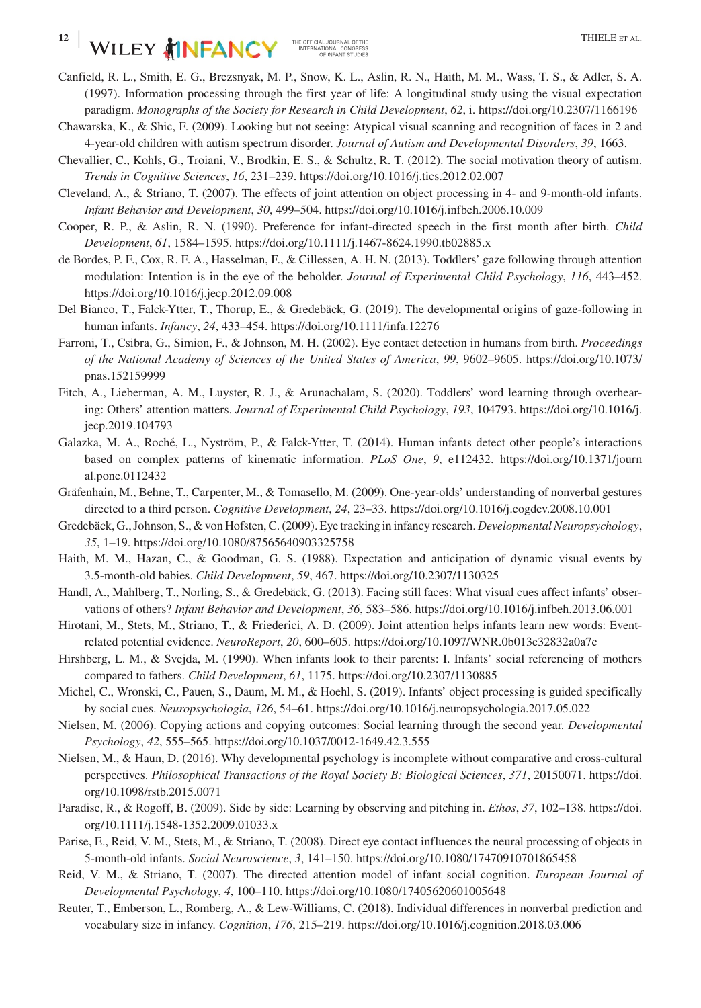# $-WILEY - 1$

- Canfield, R. L., Smith, E. G., Brezsnyak, M. P., Snow, K. L., Aslin, R. N., Haith, M. M., Wass, T. S., & Adler, S. A. (1997). Information processing through the first year of life: A longitudinal study using the visual expectation paradigm. *Monographs of the Society for Research in Child Development*, *62*, i.<https://doi.org/10.2307/1166196>
- Chawarska, K., & Shic, F. (2009). Looking but not seeing: Atypical visual scanning and recognition of faces in 2 and 4-year-old children with autism spectrum disorder. *Journal of Autism and Developmental Disorders*, *39*, 1663.
- Chevallier, C., Kohls, G., Troiani, V., Brodkin, E. S., & Schultz, R. T. (2012). The social motivation theory of autism. *Trends in Cognitive Sciences*, *16*, 231–239.<https://doi.org/10.1016/j.tics.2012.02.007>
- Cleveland, A., & Striano, T. (2007). The effects of joint attention on object processing in 4- and 9-month-old infants. *Infant Behavior and Development*, *30*, 499–504. <https://doi.org/10.1016/j.infbeh.2006.10.009>
- Cooper, R. P., & Aslin, R. N. (1990). Preference for infant-directed speech in the first month after birth. *Child Development*, *61*, 1584–1595. <https://doi.org/10.1111/j.1467-8624.1990.tb02885.x>
- de Bordes, P. F., Cox, R. F. A., Hasselman, F., & Cillessen, A. H. N. (2013). Toddlers' gaze following through attention modulation: Intention is in the eye of the beholder. *Journal of Experimental Child Psychology*, *116*, 443–452. <https://doi.org/10.1016/j.jecp.2012.09.008>
- Del Bianco, T., Falck-Ytter, T., Thorup, E., & Gredebäck, G. (2019). The developmental origins of gaze-following in human infants. *Infancy*, *24*, 433–454.<https://doi.org/10.1111/infa.12276>
- Farroni, T., Csibra, G., Simion, F., & Johnson, M. H. (2002). Eye contact detection in humans from birth. *Proceedings of the National Academy of Sciences of the United States of America*, *99*, 9602–9605. [https://doi.org/10.1073/](https://doi.org/10.1073/pnas.152159999) [pnas.152159999](https://doi.org/10.1073/pnas.152159999)
- Fitch, A., Lieberman, A. M., Luyster, R. J., & Arunachalam, S. (2020). Toddlers' word learning through overhearing: Others' attention matters. *Journal of Experimental Child Psychology*, *193*, 104793. [https://doi.org/10.1016/j.](https://doi.org/10.1016/j.jecp.2019.104793) [jecp.2019.104793](https://doi.org/10.1016/j.jecp.2019.104793)
- Galazka, M. A., Roché, L., Nyström, P., & Falck-Ytter, T. (2014). Human infants detect other people's interactions based on complex patterns of kinematic information. *PLoS One*, *9*, e112432. [https://doi.org/10.1371/journ](https://doi.org/10.1371/journal.pone.0112432) [al.pone.0112432](https://doi.org/10.1371/journal.pone.0112432)
- Gräfenhain, M., Behne, T., Carpenter, M., & Tomasello, M. (2009). One-year-olds' understanding of nonverbal gestures directed to a third person. *Cognitive Development*, *24*, 23–33.<https://doi.org/10.1016/j.cogdev.2008.10.001>
- Gredebäck, G., Johnson, S., & von Hofsten, C. (2009). Eye tracking in infancy research. *Developmental Neuropsychology*, *35*, 1–19. <https://doi.org/10.1080/87565640903325758>
- Haith, M. M., Hazan, C., & Goodman, G. S. (1988). Expectation and anticipation of dynamic visual events by 3.5-month-old babies. *Child Development*, *59*, 467.<https://doi.org/10.2307/1130325>
- Handl, A., Mahlberg, T., Norling, S., & Gredebäck, G. (2013). Facing still faces: What visual cues affect infants' observations of others? *Infant Behavior and Development*, *36*, 583–586.<https://doi.org/10.1016/j.infbeh.2013.06.001>
- Hirotani, M., Stets, M., Striano, T., & Friederici, A. D. (2009). Joint attention helps infants learn new words: Eventrelated potential evidence. *NeuroReport*, *20*, 600–605. <https://doi.org/10.1097/WNR.0b013e32832a0a7c>
- Hirshberg, L. M., & Svejda, M. (1990). When infants look to their parents: I. Infants' social referencing of mothers compared to fathers. *Child Development*, *61*, 1175.<https://doi.org/10.2307/1130885>
- Michel, C., Wronski, C., Pauen, S., Daum, M. M., & Hoehl, S. (2019). Infants' object processing is guided specifically by social cues. *Neuropsychologia*, *126*, 54–61. <https://doi.org/10.1016/j.neuropsychologia.2017.05.022>
- Nielsen, M. (2006). Copying actions and copying outcomes: Social learning through the second year. *Developmental Psychology*, *42*, 555–565.<https://doi.org/10.1037/0012-1649.42.3.555>
- Nielsen, M., & Haun, D. (2016). Why developmental psychology is incomplete without comparative and cross-cultural perspectives. *Philosophical Transactions of the Royal Society B: Biological Sciences*, *371*, 20150071. [https://doi.](https://doi.org/10.1098/rstb.2015.0071) [org/10.1098/rstb.2015.0071](https://doi.org/10.1098/rstb.2015.0071)
- Paradise, R., & Rogoff, B. (2009). Side by side: Learning by observing and pitching in. *Ethos*, *37*, 102–138. [https://doi.](https://doi.org/10.1111/j.1548-1352.2009.01033.x) [org/10.1111/j.1548-1352.2009.01033.x](https://doi.org/10.1111/j.1548-1352.2009.01033.x)
- Parise, E., Reid, V. M., Stets, M., & Striano, T. (2008). Direct eye contact influences the neural processing of objects in 5-month-old infants. *Social Neuroscience*, *3*, 141–150.<https://doi.org/10.1080/17470910701865458>
- Reid, V. M., & Striano, T. (2007). The directed attention model of infant social cognition. *European Journal of Developmental Psychology*, *4*, 100–110. <https://doi.org/10.1080/17405620601005648>
- Reuter, T., Emberson, L., Romberg, A., & Lew-Williams, C. (2018). Individual differences in nonverbal prediction and vocabulary size in infancy. *Cognition*, *176*, 215–219. <https://doi.org/10.1016/j.cognition.2018.03.006>